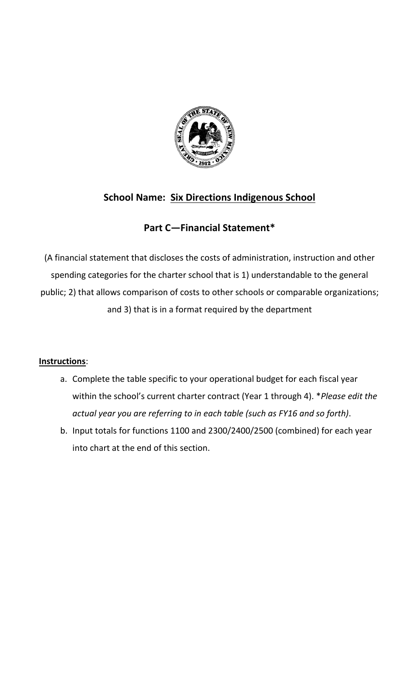

# **School Name: Six Directions Indigenous School**

## **Part C—Financial Statement\***

(A financial statement that discloses the costs of administration, instruction and other spending categories for the charter school that is 1) understandable to the general public; 2) that allows comparison of costs to other schools or comparable organizations; and 3) that is in a format required by the department

## **Instructions**:

- a. Complete the table specific to your operational budget for each fiscal year within the school's current charter contract (Year 1 through 4). \**Please edit the actual year you are referring to in each table (such as FY16 and so forth)*.
- b. Input totals for functions 1100 and 2300/2400/2500 (combined) for each year into chart at the end of this section.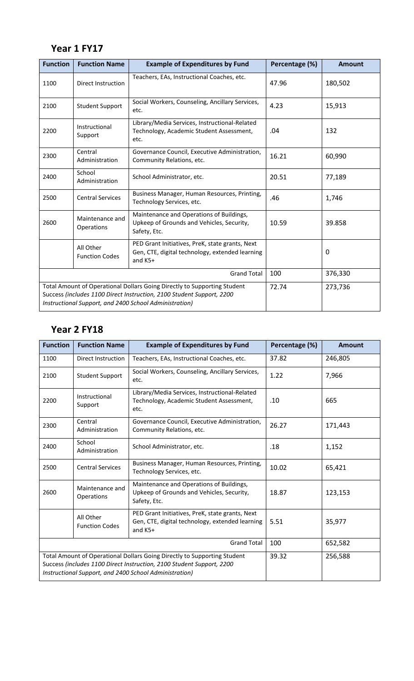## **Year 1 FY17**

| <b>Function</b>                                                                                                                                                                                             | <b>Function Name</b>               | <b>Example of Expenditures by Fund</b>                                                                          | Percentage (%) | <b>Amount</b> |
|-------------------------------------------------------------------------------------------------------------------------------------------------------------------------------------------------------------|------------------------------------|-----------------------------------------------------------------------------------------------------------------|----------------|---------------|
| 1100                                                                                                                                                                                                        | <b>Direct Instruction</b>          | Teachers, EAs, Instructional Coaches, etc.                                                                      | 47.96          | 180,502       |
| 2100                                                                                                                                                                                                        | <b>Student Support</b>             | Social Workers, Counseling, Ancillary Services,<br>etc.                                                         | 4.23           | 15,913        |
| 2200                                                                                                                                                                                                        | Instructional<br>Support           | Library/Media Services, Instructional-Related<br>Technology, Academic Student Assessment,<br>etc.               | .04            | 132           |
| 2300                                                                                                                                                                                                        | Central<br>Administration          | Governance Council, Executive Administration,<br>Community Relations, etc.                                      | 16.21          | 60,990        |
| 2400                                                                                                                                                                                                        | School<br>Administration           | School Administrator, etc.                                                                                      | 20.51          | 77,189        |
| 2500                                                                                                                                                                                                        | <b>Central Services</b>            | Business Manager, Human Resources, Printing,<br>Technology Services, etc.                                       | .46            | 1,746         |
| 2600                                                                                                                                                                                                        | Maintenance and<br>Operations      | Maintenance and Operations of Buildings,<br>Upkeep of Grounds and Vehicles, Security,<br>Safety, Etc.           | 10.59          | 39.858        |
|                                                                                                                                                                                                             | All Other<br><b>Function Codes</b> | PED Grant Initiatives, PreK, state grants, Next<br>Gen, CTE, digital technology, extended learning<br>and $K5+$ |                | 0             |
| <b>Grand Total</b>                                                                                                                                                                                          |                                    |                                                                                                                 | 100            | 376,330       |
| Total Amount of Operational Dollars Going Directly to Supporting Student<br>Success (includes 1100 Direct Instruction, 2100 Student Support, 2200<br>Instructional Support, and 2400 School Administration) |                                    |                                                                                                                 | 72.74          | 273,736       |

# **Year 2 FY18**

| <b>Function</b>                                                                                                                                                                                             | <b>Function Name</b>               | <b>Example of Expenditures by Fund</b>                                                                          | Percentage (%) | <b>Amount</b> |
|-------------------------------------------------------------------------------------------------------------------------------------------------------------------------------------------------------------|------------------------------------|-----------------------------------------------------------------------------------------------------------------|----------------|---------------|
| 1100                                                                                                                                                                                                        | Direct Instruction                 | Teachers, EAs, Instructional Coaches, etc.                                                                      | 37.82          | 246,805       |
| 2100                                                                                                                                                                                                        | <b>Student Support</b>             | Social Workers, Counseling, Ancillary Services,<br>etc.                                                         | 1.22           | 7,966         |
| 2200                                                                                                                                                                                                        | Instructional<br>Support           | Library/Media Services, Instructional-Related<br>Technology, Academic Student Assessment,<br>etc.               | .10            | 665           |
| 2300                                                                                                                                                                                                        | Central<br>Administration          | Governance Council, Executive Administration,<br>Community Relations, etc.                                      | 26.27          | 171,443       |
| 2400                                                                                                                                                                                                        | School<br>Administration           | School Administrator, etc.                                                                                      | .18            | 1,152         |
| 2500                                                                                                                                                                                                        | <b>Central Services</b>            | Business Manager, Human Resources, Printing,<br>Technology Services, etc.                                       | 10.02          | 65,421        |
| 2600                                                                                                                                                                                                        | Maintenance and<br>Operations      | Maintenance and Operations of Buildings,<br>Upkeep of Grounds and Vehicles, Security,<br>Safety, Etc.           | 18.87          | 123,153       |
|                                                                                                                                                                                                             | All Other<br><b>Function Codes</b> | PED Grant Initiatives, PreK, state grants, Next<br>Gen, CTE, digital technology, extended learning<br>and $K5+$ | 5.51           | 35,977        |
| <b>Grand Total</b>                                                                                                                                                                                          |                                    |                                                                                                                 | 100            | 652,582       |
| Total Amount of Operational Dollars Going Directly to Supporting Student<br>Success (includes 1100 Direct Instruction, 2100 Student Support, 2200<br>Instructional Support, and 2400 School Administration) |                                    |                                                                                                                 | 39.32          | 256,588       |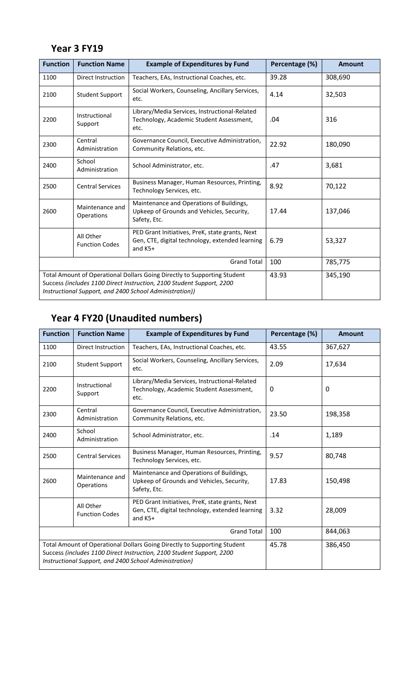# **Year 3 FY19**

| <b>Function</b>                                                                                                                                                                                              | <b>Function Name</b>               | <b>Example of Expenditures by Fund</b>                                                                          | Percentage (%) | Amount  |
|--------------------------------------------------------------------------------------------------------------------------------------------------------------------------------------------------------------|------------------------------------|-----------------------------------------------------------------------------------------------------------------|----------------|---------|
| 1100                                                                                                                                                                                                         | Direct Instruction                 | Teachers, EAs, Instructional Coaches, etc.                                                                      | 39.28          | 308,690 |
| 2100                                                                                                                                                                                                         | <b>Student Support</b>             | Social Workers, Counseling, Ancillary Services,<br>etc.                                                         | 4.14           | 32,503  |
| 2200                                                                                                                                                                                                         | Instructional<br>Support           | Library/Media Services, Instructional-Related<br>Technology, Academic Student Assessment,<br>etc.               | .04            | 316     |
| 2300                                                                                                                                                                                                         | Central<br>Administration          | Governance Council, Executive Administration,<br>Community Relations, etc.                                      | 22.92          | 180,090 |
| 2400                                                                                                                                                                                                         | School<br>Administration           | School Administrator, etc.                                                                                      | .47            | 3,681   |
| 2500                                                                                                                                                                                                         | <b>Central Services</b>            | Business Manager, Human Resources, Printing,<br>Technology Services, etc.                                       | 8.92           | 70,122  |
| 2600                                                                                                                                                                                                         | Maintenance and<br>Operations      | Maintenance and Operations of Buildings,<br>Upkeep of Grounds and Vehicles, Security,<br>Safety, Etc.           | 17.44          | 137,046 |
|                                                                                                                                                                                                              | All Other<br><b>Function Codes</b> | PED Grant Initiatives, PreK, state grants, Next<br>Gen, CTE, digital technology, extended learning<br>and $K5+$ | 6.79           | 53,327  |
| <b>Grand Total</b>                                                                                                                                                                                           |                                    |                                                                                                                 | 100            | 785,775 |
| Total Amount of Operational Dollars Going Directly to Supporting Student<br>Success (includes 1100 Direct Instruction, 2100 Student Support, 2200<br>Instructional Support, and 2400 School Administration)) |                                    |                                                                                                                 | 43.93          | 345,190 |

# **Year 4 FY20 (Unaudited numbers)**

| <b>Function</b>                                                                                                                                                                                             | <b>Function Name</b>               | <b>Example of Expenditures by Fund</b>                                                                        | Percentage (%) | <b>Amount</b> |
|-------------------------------------------------------------------------------------------------------------------------------------------------------------------------------------------------------------|------------------------------------|---------------------------------------------------------------------------------------------------------------|----------------|---------------|
| 1100                                                                                                                                                                                                        | Direct Instruction                 | Teachers, EAs, Instructional Coaches, etc.                                                                    | 43.55          | 367,627       |
| 2100                                                                                                                                                                                                        | <b>Student Support</b>             | Social Workers, Counseling, Ancillary Services,<br>etc.                                                       | 2.09           | 17,634        |
| 2200                                                                                                                                                                                                        | Instructional<br>Support           | Library/Media Services, Instructional-Related<br>Technology, Academic Student Assessment,<br>etc.             | 0              | 0             |
| 2300                                                                                                                                                                                                        | Central<br>Administration          | Governance Council, Executive Administration,<br>Community Relations, etc.                                    | 23.50          | 198,358       |
| 2400                                                                                                                                                                                                        | School<br>Administration           | School Administrator, etc.                                                                                    | .14            | 1,189         |
| 2500                                                                                                                                                                                                        | <b>Central Services</b>            | Business Manager, Human Resources, Printing,<br>Technology Services, etc.                                     | 9.57           | 80,748        |
| 2600                                                                                                                                                                                                        | Maintenance and<br>Operations      | Maintenance and Operations of Buildings,<br>Upkeep of Grounds and Vehicles, Security,<br>Safety, Etc.         | 17.83          | 150,498       |
|                                                                                                                                                                                                             | All Other<br><b>Function Codes</b> | PED Grant Initiatives, PreK, state grants, Next<br>Gen, CTE, digital technology, extended learning<br>and K5+ | 3.32           | 28,009        |
| <b>Grand Total</b>                                                                                                                                                                                          |                                    |                                                                                                               | 100            | 844,063       |
| Total Amount of Operational Dollars Going Directly to Supporting Student<br>Success (includes 1100 Direct Instruction, 2100 Student Support, 2200<br>Instructional Support, and 2400 School Administration) |                                    |                                                                                                               | 45.78          | 386,450       |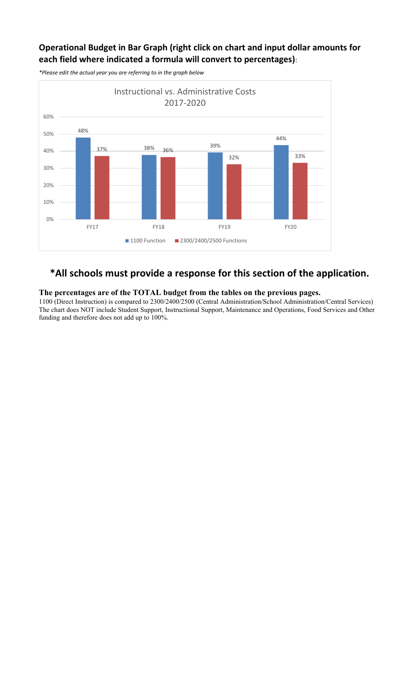### **Operational Budget in Bar Graph (right click on chart and input dollar amounts for each field where indicated a formula will convert to percentages)**:



*\*Please edit the actual year you are referring to in the graph below*

# **\*All schools must provide a response for this section of the application.**

### **The percentages are of the TOTAL budget from the tables on the previous pages.**

1100 (Direct Instruction) is compared to 2300/2400/2500 (Central Administration/School Administration/Central Services) The chart does NOT include Student Support, Instructional Support, Maintenance and Operations, Food Services and Other funding and therefore does not add up to 100%.